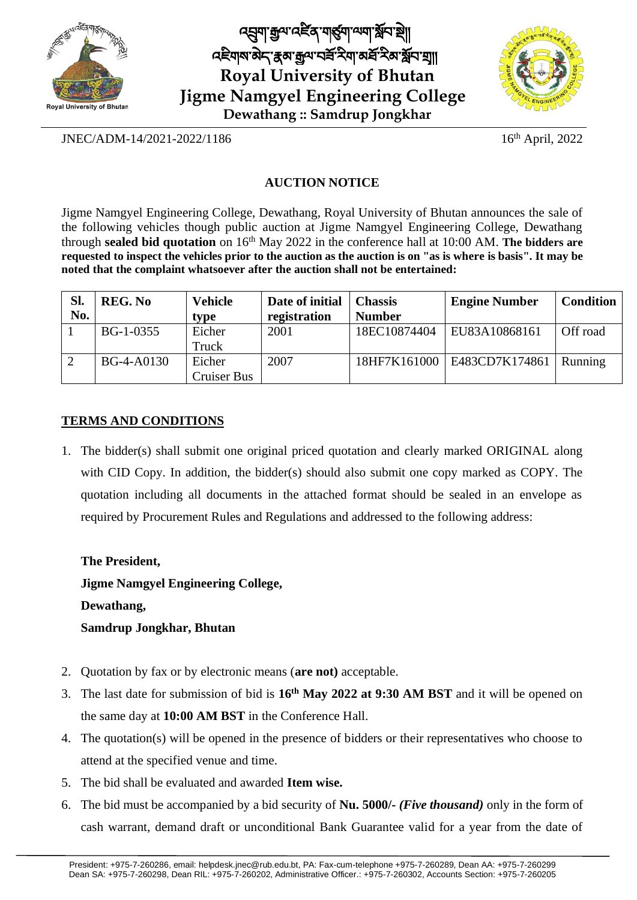

**Royal University of Bhutan Jigme Namgyel Engineering College Dewathang :: Samdrup Jongkhar** ব্র্মা ক্রুন্স বর্ধর শার্ত্ত্বা ন্যায় স্থানস্থ འཇིགས་མྡེད་རྣམ་རྒྱལ་བཟློ་རིག་མཐློ་རིམ་སློབ་གྲྭ།།



JNEC/ADM-14/2021-2022/1186 16

 $16<sup>th</sup>$  April, 2022

## **AUCTION NOTICE**

Jigme Namgyel Engineering College, Dewathang, Royal University of Bhutan announces the sale of the following vehicles though public auction at Jigme Namgyel Engineering College, Dewathang through **sealed bid quotation** on 16 th May 2022 in the conference hall at 10:00 AM. **The bidders are** requested to inspect the vehicles prior to the auction as the auction is on "as is where is basis". It may be **noted that the complaint whatsoever after the auction shall not be entertained:**

| Sl.<br>No. | <b>REG. No</b> | <b>Vehicle</b><br>tvpe | Date of initial<br>registration | <b>Chassis</b><br><b>Number</b> | <b>Engine Number</b>          | <b>Condition</b> |
|------------|----------------|------------------------|---------------------------------|---------------------------------|-------------------------------|------------------|
|            | BG-1-0355      | Eicher<br>Truck        | 2001                            | 18EC10874404                    | EU83A10868161                 | Off road         |
|            | BG-4-A0130     | Eicher<br>Cruiser Bus  | 2007                            |                                 | 18HF7K161000   E483CD7K174861 | <b>Running</b>   |

## **TERMS AND CONDITIONS**

1. The bidder(s) shall submit one original priced quotation and clearly marked ORIGINAL along with CID Copy. In addition, the bidder(s) should also submit one copy marked as COPY. The quotation including all documents in the attached format should be sealed in an envelope as required by Procurement Rules and Regulations and addressed to the following address:

**The President, Jigme Namgyel Engineering College,** 

**Dewathang,**

**Samdrup Jongkhar, Bhutan**

- 2. Quotation by fax or by electronic means (**are not)** acceptable.
- 3. The last date for submission of bid is **16 th May 2022 at 9:30 AM BST** and it will be opened on the same day at **10:00 AM BST** in the Conference Hall.
- 4. The quotation(s) will be opened in the presence of bidders or their representatives who choose to attend at the specified venue and time.
- 5. The bid shall be evaluated and awarded **Item wise.**
- 6. The bid must be accompanied by a bid security of **Nu. 5000/-** *(Five thousand)* only in the form of cash warrant, demand draft or unconditional Bank Guarantee valid for a year from the date of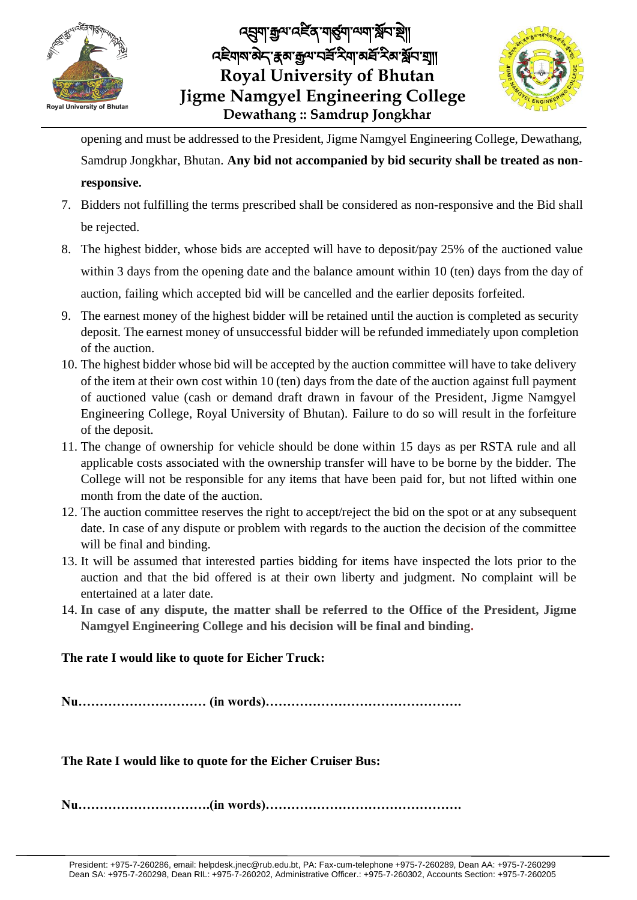

**Royal University of Bhutan Jigme Namgyel Engineering College Dewathang :: Samdrup Jongkhar** ব্র্মুনা ক্রুন্স বর্ধর মার্কুনা অনা স্থান শ্রী འཇིགས་མྡེད་རྣམ་རྒྱལ་བཟློ་རིག་མཐློ་རིམ་སློབ་གྲྭ།།



opening and must be addressed to the President, Jigme Namgyel Engineering College, Dewathang, Samdrup Jongkhar, Bhutan. **Any bid not accompanied by bid security shall be treated as nonresponsive.**

- 7. Bidders not fulfilling the terms prescribed shall be considered as non-responsive and the Bid shall be rejected.
- 8. The highest bidder, whose bids are accepted will have to deposit/pay 25% of the auctioned value within 3 days from the opening date and the balance amount within 10 (ten) days from the day of auction, failing which accepted bid will be cancelled and the earlier deposits forfeited.
- 9. The earnest money of the highest bidder will be retained until the auction is completed as security deposit. The earnest money of unsuccessful bidder will be refunded immediately upon completion of the auction.
- 10. The highest bidder whose bid will be accepted by the auction committee will have to take delivery of the item at their own cost within 10 (ten) days from the date of the auction against full payment of auctioned value (cash or demand draft drawn in favour of the President, Jigme Namgyel Engineering College, Royal University of Bhutan). Failure to do so will result in the forfeiture of the deposit.
- 11. The change of ownership for vehicle should be done within 15 days as per RSTA rule and all applicable costs associated with the ownership transfer will have to be borne by the bidder. The College will not be responsible for any items that have been paid for, but not lifted within one month from the date of the auction.
- 12. The auction committee reserves the right to accept/reject the bid on the spot or at any subsequent date. In case of any dispute or problem with regards to the auction the decision of the committee will be final and binding.
- 13. It will be assumed that interested parties bidding for items have inspected the lots prior to the auction and that the bid offered is at their own liberty and judgment. No complaint will be entertained at a later date.
- 14. **In case of any dispute, the matter shall be referred to the Office of the President, Jigme Namgyel Engineering College and his decision will be final and binding.**

## **The rate I would like to quote for Eicher Truck:**

**Nu………………………… (in words)……………………………………….**

**The Rate I would like to quote for the Eicher Cruiser Bus:**

**Nu………………………….(in words)……………………………………….**